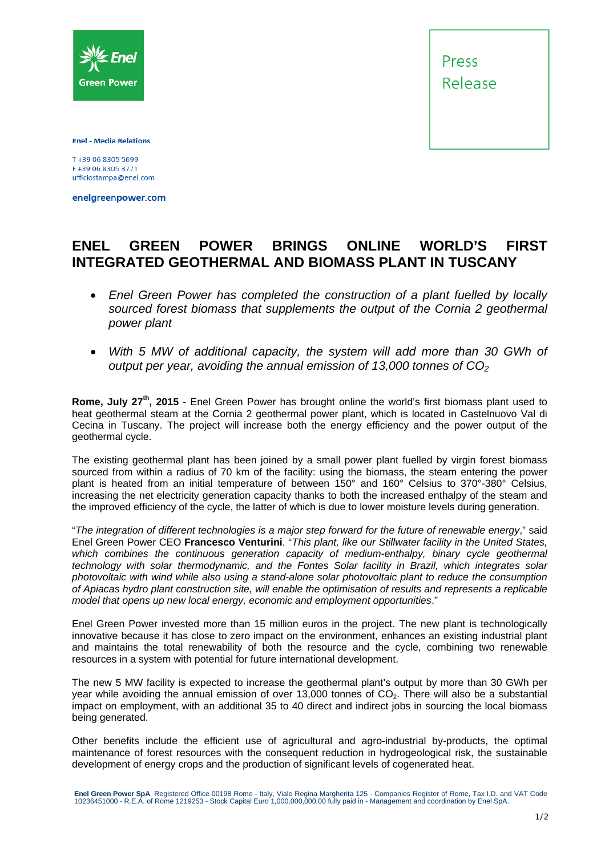

Press Release

**Enel - Media Relations** 

F+39 06 8305 3771 ufficiostampa@enel.com

enelgreenpower.com

## **ENEL GREEN POWER BRINGS ONLINE WORLD'S FIRST INTEGRATED GEOTHERMAL AND BIOMASS PLANT IN TUSCANY**

- *Enel Green Power has completed the construction of a plant fuelled by locally sourced forest biomass that supplements the output of the Cornia 2 geothermal power plant*
- *With 5 MW of additional capacity, the system will add more than 30 GWh of output per year, avoiding the annual emission of 13,000 tonnes of CO<sub>2</sub>*

**Rome, July 27<sup>th</sup>, 2015** - Enel Green Power has brought online the world's first biomass plant used to heat geothermal steam at the Cornia 2 geothermal power plant, which is located in Castelnuovo Val di Cecina in Tuscany. The project will increase both the energy efficiency and the power output of the geothermal cycle.

The existing geothermal plant has been joined by a small power plant fuelled by virgin forest biomass sourced from within a radius of 70 km of the facility: using the biomass, the steam entering the power plant is heated from an initial temperature of between 150° and 160° Celsius to 370°-380° Celsius, increasing the net electricity generation capacity thanks to both the increased enthalpy of the steam and the improved efficiency of the cycle, the latter of which is due to lower moisture levels during generation.

"*The integration of different technologies is a major step forward for the future of renewable energy*," said Enel Green Power CEO **Francesco Venturini**. "*This plant, like our Stillwater facility in the United States,*  which combines the continuous generation capacity of medium-enthalpy, binary cycle geothermal *technology with solar thermodynamic, and the Fontes Solar facility in Brazil, which integrates solar photovoltaic with wind while also using a stand-alone solar photovoltaic plant to reduce the consumption of Apiacas hydro plant construction site, will enable the optimisation of results and represents a replicable model that opens up new local energy, economic and employment opportunities*."

Enel Green Power invested more than 15 million euros in the project. The new plant is technologically innovative because it has close to zero impact on the environment, enhances an existing industrial plant and maintains the total renewability of both the resource and the cycle, combining two renewable resources in a system with potential for future international development.

The new 5 MW facility is expected to increase the geothermal plant's output by more than 30 GWh per year while avoiding the annual emission of over 13,000 tonnes of CO<sub>2</sub>. There will also be a substantial impact on employment, with an additional 35 to 40 direct and indirect jobs in sourcing the local biomass being generated.

Other benefits include the efficient use of agricultural and agro-industrial by-products, the optimal maintenance of forest resources with the consequent reduction in hydrogeological risk, the sustainable development of energy crops and the production of significant levels of cogenerated heat.